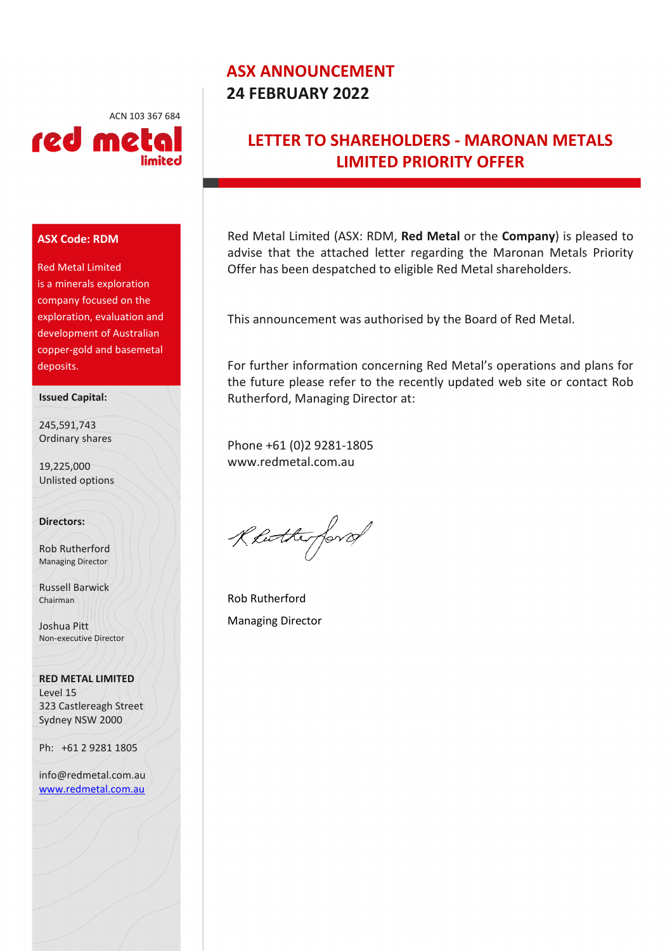ACN 103 367 684 red meta

#### **ASX Code: RDM**

Red Metal Limited is a minerals exploration company focused on the exploration, evaluation and development of Australian copper-gold and basemetal deposits.

# **Issued Capital:**

245,591,743 Ordinary shares

19,225,000 Unlisted options

#### **Directors:**

Rob Rutherford Managing Director

Russell Barwick Chairman

Joshua Pitt Non-executive Director

**RED METAL LIMITED** Level 15 323 Castlereagh Street Sydney NSW 2000

Ph: +61 2 9281 1805

info@redmetal.com.au www.redmetal.com.au

# **ASX ANNOUNCEMENT 24 FEBRUARY 2022**

# **LETTER TO SHAREHOLDERS - MARONAN METALS LIMITED PRIORITY OFFER**

Red Metal Limited (ASX: RDM, **Red Metal** or the **Company**) is pleased to advise that the attached letter regarding the Maronan Metals Priority Offer has been despatched to eligible Red Metal shareholders.

This announcement was authorised by the Board of Red Metal.

For further information concerning Red Metal's operations and plans for the future please refer to the recently updated web site or contact Rob Rutherford, Managing Director at:

Phone +61 (0)2 9281-1805 www.redmetal.com.au

Reitherford

Rob Rutherford Managing Director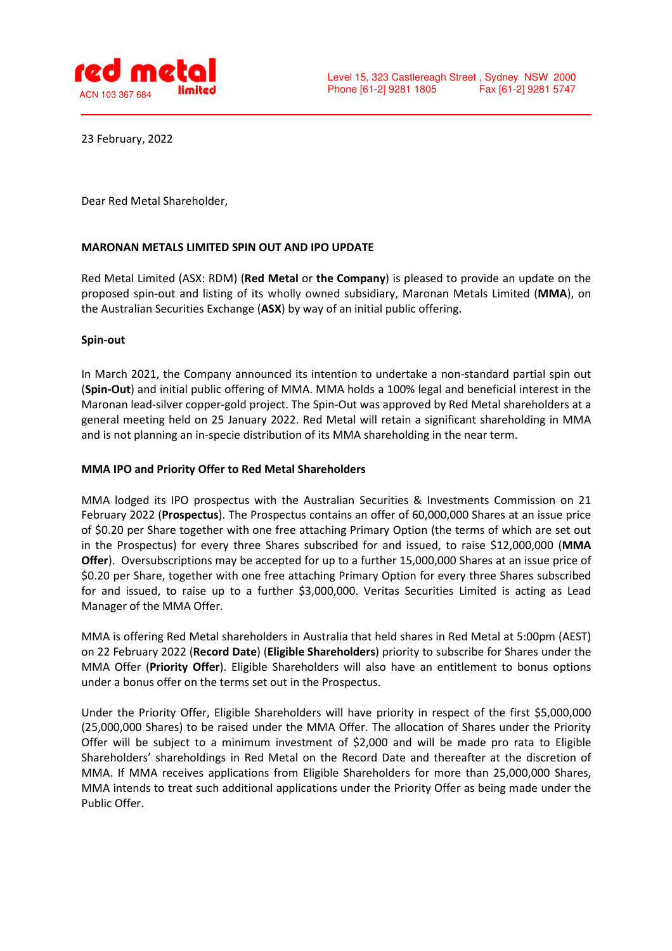

23 February, 2022

Dear Red Metal Shareholder,

### **MARONAN METALS LIMITED SPIN OUT AND IPO UPDATE**

Red Metal Limited (ASX: RDM) (**Red Metal** or **the Company**) is pleased to provide an update on the proposed spin-out and listing of its wholly owned subsidiary, Maronan Metals Limited (**MMA**), on the Australian Securities Exchange (**ASX**) by way of an initial public offering.

#### **Spin-out**

In March 2021, the Company announced its intention to undertake a non-standard partial spin out (**Spin-Out**) and initial public offering of MMA. MMA holds a 100% legal and beneficial interest in the Maronan lead-silver copper-gold project. The Spin-Out was approved by Red Metal shareholders at a general meeting held on 25 January 2022. Red Metal will retain a significant shareholding in MMA and is not planning an in-specie distribution of its MMA shareholding in the near term.

#### **MMA IPO and Priority Offer to Red Metal Shareholders**

MMA lodged its IPO prospectus with the Australian Securities & Investments Commission on 21 February 2022 (**Prospectus**). The Prospectus contains an offer of 60,000,000 Shares at an issue price of \$0.20 per Share together with one free attaching Primary Option (the terms of which are set out in the Prospectus) for every three Shares subscribed for and issued, to raise \$12,000,000 (**MMA Offer**). Oversubscriptions may be accepted for up to a further 15,000,000 Shares at an issue price of \$0.20 per Share, together with one free attaching Primary Option for every three Shares subscribed for and issued, to raise up to a further \$3,000,000. Veritas Securities Limited is acting as Lead Manager of the MMA Offer.

MMA is offering Red Metal shareholders in Australia that held shares in Red Metal at 5:00pm (AEST) on 22 February 2022 (**Record Date**) (**Eligible Shareholders**) priority to subscribe for Shares under the MMA Offer (**Priority Offer**). Eligible Shareholders will also have an entitlement to bonus options under a bonus offer on the terms set out in the Prospectus.

Under the Priority Offer, Eligible Shareholders will have priority in respect of the first \$5,000,000 (25,000,000 Shares) to be raised under the MMA Offer. The allocation of Shares under the Priority Offer will be subject to a minimum investment of \$2,000 and will be made pro rata to Eligible Shareholders' shareholdings in Red Metal on the Record Date and thereafter at the discretion of MMA. If MMA receives applications from Eligible Shareholders for more than 25,000,000 Shares, MMA intends to treat such additional applications under the Priority Offer as being made under the Public Offer.